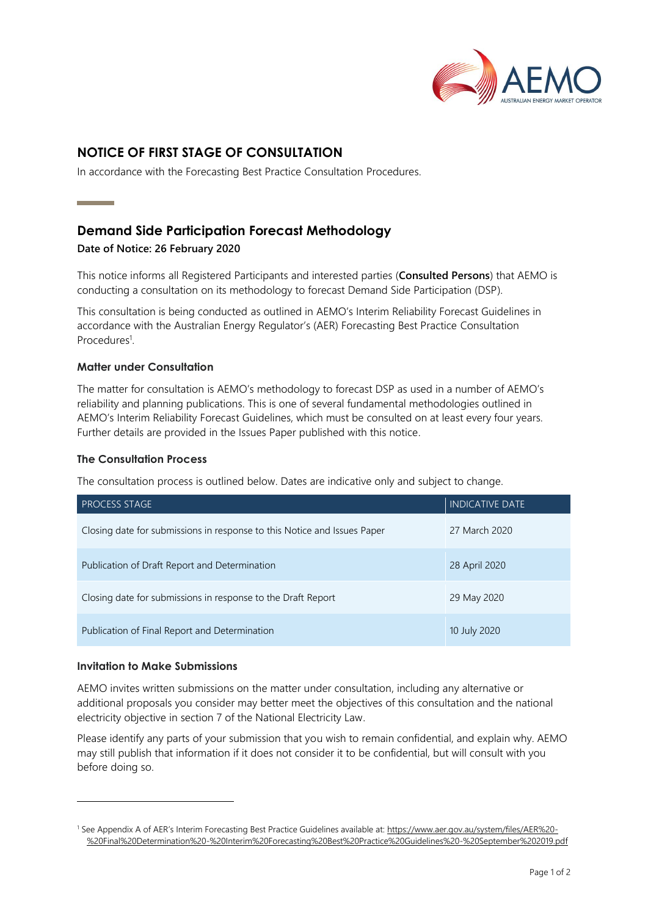

# **NOTICE OF FIRST STAGE OF CONSULTATION**

In accordance with the Forecasting Best Practice Consultation Procedures.

# **Demand Side Participation Forecast Methodology**

### **Date of Notice: 26 February 2020**

**Contract Contract Contract** 

This notice informs all Registered Participants and interested parties (**Consulted Persons**) that AEMO is conducting a consultation on its methodology to forecast Demand Side Participation (DSP).

This consultation is being conducted as outlined in AEMO's Interim Reliability Forecast Guidelines in accordance with the Australian Energy Regulator's (AER) Forecasting Best Practice Consultation Procedures<sup>1</sup>.

### **Matter under Consultation**

The matter for consultation is AEMO's methodology to forecast DSP as used in a number of AEMO's reliability and planning publications. This is one of several fundamental methodologies outlined in AEMO's Interim Reliability Forecast Guidelines, which must be consulted on at least every four years. Further details are provided in the Issues Paper published with this notice.

### **The Consultation Process**

The consultation process is outlined below. Dates are indicative only and subject to change.

| <b>PROCESS STAGE</b>                                                     | <b>INDICATIVE DATE</b> |
|--------------------------------------------------------------------------|------------------------|
| Closing date for submissions in response to this Notice and Issues Paper | 27 March 2020          |
| Publication of Draft Report and Determination                            | 28 April 2020          |
| Closing date for submissions in response to the Draft Report             | 29 May 2020            |
| Publication of Final Report and Determination                            | 10 July 2020           |

### **Invitation to Make Submissions**

AEMO invites written submissions on the matter under consultation, including any alternative or additional proposals you consider may better meet the objectives of this consultation and the national electricity objective in section 7 of the National Electricity Law.

Please identify any parts of your submission that you wish to remain confidential, and explain why. AEMO may still publish that information if it does not consider it to be confidential, but will consult with you before doing so.

<sup>1</sup> See Appendix A of AER's Interim Forecasting Best Practice Guidelines available at: [https://www.aer.gov.au/system/files/AER%20-](https://www.aer.gov.au/system/files/AER%20-%20Final%20Determination%20-%20Interim%20Forecasting%20Best%20Practice%20Guidelines%20-%20September%202019.pdf) [%20Final%20Determination%20-%20Interim%20Forecasting%20Best%20Practice%20Guidelines%20-%20September%202019.pdf](https://www.aer.gov.au/system/files/AER%20-%20Final%20Determination%20-%20Interim%20Forecasting%20Best%20Practice%20Guidelines%20-%20September%202019.pdf)